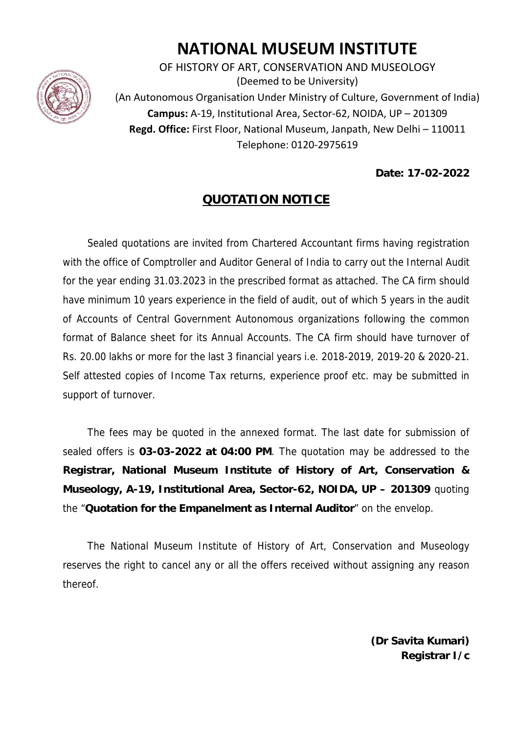## **NATIONAL MUSEUM INSTITUTE**



OF HISTORY OF ART, CONSERVATION AND MUSEOLOGY (Deemed to be University) (An Autonomous Organisation Under Ministry of Culture, Government of India) **Campus:** A‐19, Institutional Area, Sector‐62, NOIDA, UP – 201309 **Regd. Office:** First Floor, National Museum, Janpath, New Delhi – 110011 Telephone: 0120‐2975619

**Date: 17-02-2022** 

## **QUOTATION NOTICE**

Sealed quotations are invited from Chartered Accountant firms having registration with the office of Comptroller and Auditor General of India to carry out the Internal Audit for the year ending 31.03.2023 in the prescribed format as attached. The CA firm should have minimum 10 years experience in the field of audit, out of which 5 years in the audit of Accounts of Central Government Autonomous organizations following the common format of Balance sheet for its Annual Accounts. The CA firm should have turnover of Rs. 20.00 lakhs or more for the last 3 financial years i.e. 2018-2019, 2019-20 & 2020-21. Self attested copies of Income Tax returns, experience proof etc. may be submitted in support of turnover.

The fees may be quoted in the annexed format. The last date for submission of sealed offers is **03-03-2022 at 04:00 PM**. The quotation may be addressed to the **Registrar, National Museum Institute of History of Art, Conservation & Museology, A-19, Institutional Area, Sector-62, NOIDA, UP – 201309** quoting the "**Quotation for the Empanelment as Internal Auditor**" on the envelop.

The National Museum Institute of History of Art, Conservation and Museology reserves the right to cancel any or all the offers received without assigning any reason thereof.

> **(Dr Savita Kumari) Registrar I/c**